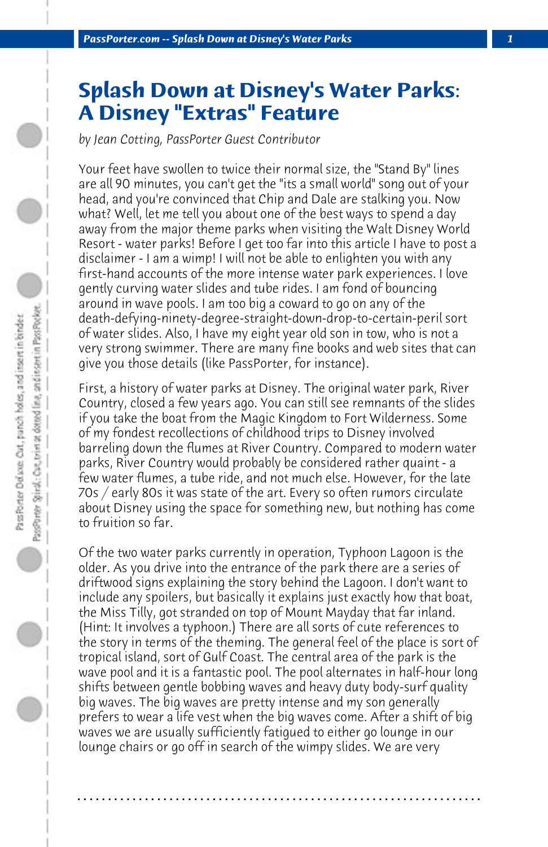## **Splash Down at Disney's Water Parks: A Disney "Extras" Feature**

*by Jean Cotting, PassPorter Guest Contributor*

Your feet have swollen to twice their normal size, the "Stand By" lines are all 90 minutes, you can't get the "its a small world" song out of your head, and you're convinced that Chip and Dale are stalking you. Now what? Well, let me tell you about one of the best ways to spend a day away from the major theme parks when visiting the Walt Disney World Resort - water parks! Before I get too far into this article I have to post a disclaimer - I am a wimp! I will not be able to enlighten you with any first-hand accounts of the more intense water park experiences. I love gently curving water slides and tube rides. I am fond of bouncing around in wave pools. I am too big a coward to go on any of the death-defying-ninety-degree-straight-down-drop-to-certain-peril sort of water slides. Also, I have my eight year old son in tow, who is not a very strong swimmer. There are many fine books and web sites that can give you those details (like PassPorter, for instance).

First, a history of water parks at Disney. The original water park, River Country, closed a few years ago. You can still see remnants of the slides if you take the boat from the Magic Kingdom to Fort Wilderness. Some of my fondest recollections of childhood trips to Disney involved barreling down the flumes at River Country. Compared to modern water parks, River Country would probably be considered rather quaint - a few water flumes, a tube ride, and not much else. However, for the late 70s / early 80s it was state of the art. Every so often rumors circulate about Disney using the space for something new, but nothing has come to fruition so far.

Of the two water parks currently in operation, Typhoon Lagoon is the older. As you drive into the entrance of the park there are a series of driftwood signs explaining the story behind the Lagoon. I don't want to include any spoilers, but basically it explains just exactly how that boat, the Miss Tilly, got stranded on top of Mount Mayday that far inland. (Hint: It involves a typhoon.) There are all sorts of cute references to the story in terms of the theming. The general feel of the place is sort of tropical island, sort of Gulf Coast. The central area of the park is the wave pool and it is a fantastic pool. The pool alternates in half-hour long shifts between gentle bobbing waves and heavy duty body-surf quality big waves. The big waves are pretty intense and my son generally prefers to wear a life vest when the big waves come. After a shift of big waves we are usually sufficiently fatigued to either go lounge in our lounge chairs or go off in search of the wimpy slides. We are very

**. . . . . . . . . . . . . . . . . . . . . . . . . . . . . . . . . . . . . . . . . . . . . . . . . . . . . . . . . . . . . . . . . .**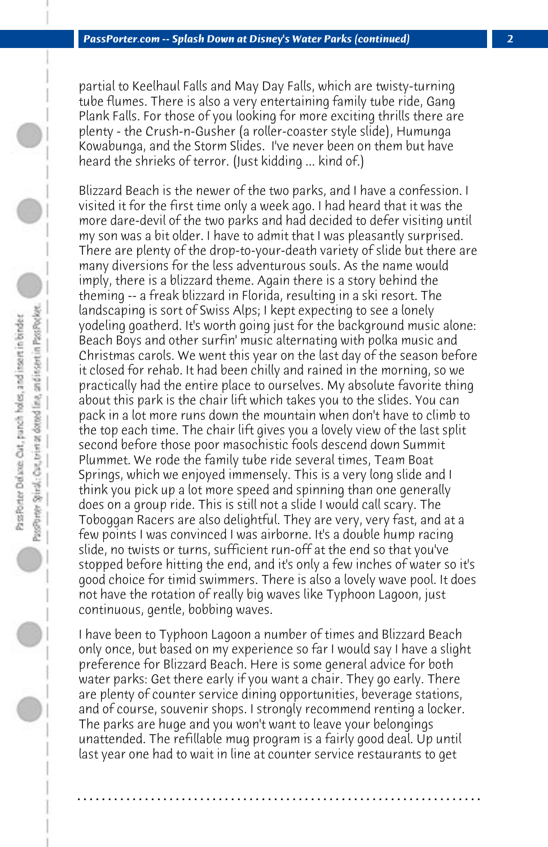partial to Keelhaul Falls and May Day Falls, which are twisty-turning tube flumes. There is also a very entertaining family tube ride, Gang Plank Falls. For those of you looking for more exciting thrills there are plenty - the Crush-n-Gusher (a roller-coaster style slide), Humunga Kowabunga, and the Storm Slides. I've never been on them but have heard the shrieks of terror. (Just kidding ... kind of.)

Blizzard Beach is the newer of the two parks, and I have a confession. I visited it for the first time only a week ago. I had heard that it was the more dare-devil of the two parks and had decided to defer visiting until my son was a bit older. I have to admit that I was pleasantly surprised. There are plenty of the drop-to-your-death variety of slide but there are many diversions for the less adventurous souls. As the name would imply, there is a blizzard theme. Again there is a story behind the theming -- a freak blizzard in Florida, resulting in a ski resort. The landscaping is sort of Swiss Alps; I kept expecting to see a lonely yodeling goatherd. It's worth going just for the background music alone: Beach Boys and other surfin' music alternating with polka music and Christmas carols. We went this year on the last day of the season before it closed for rehab. It had been chilly and rained in the morning, so we practically had the entire place to ourselves. My absolute favorite thing about this park is the chair lift which takes you to the slides. You can pack in a lot more runs down the mountain when don't have to climb to the top each time. The chair lift gives you a lovely view of the last split second before those poor masochistic fools descend down Summit Plummet. We rode the family tube ride several times, Team Boat Springs, which we enjoyed immensely. This is a very long slide and I think you pick up a lot more speed and spinning than one generally does on a group ride. This is still not a slide I would call scary. The Toboggan Racers are also delightful. They are very, very fast, and at a few points I was convinced I was airborne. It's a double hump racing slide, no twists or turns, sufficient run-off at the end so that you've stopped before hitting the end, and it's only a few inches of water so it's good choice for timid swimmers. There is also a lovely wave pool. It does not have the rotation of really big waves like Typhoon Lagoon, just continuous, gentle, bobbing waves.

I have been to Typhoon Lagoon a number of times and Blizzard Beach only once, but based on my experience so far I would say I have a slight preference for Blizzard Beach. Here is some general advice for both water parks: Get there early if you want a chair. They go early. There are plenty of counter service dining opportunities, beverage stations, and of course, souvenir shops. I strongly recommend renting a locker. The parks are huge and you won't want to leave your belongings unattended. The refillable mug program is a fairly good deal. Up until last year one had to wait in line at counter service restaurants to get

**. . . . . . . . . . . . . . . . . . . . . . . . . . . . . . . . . . . . . . . . . . . . . . . . . . . . . . . . . . . . . . . . . .**